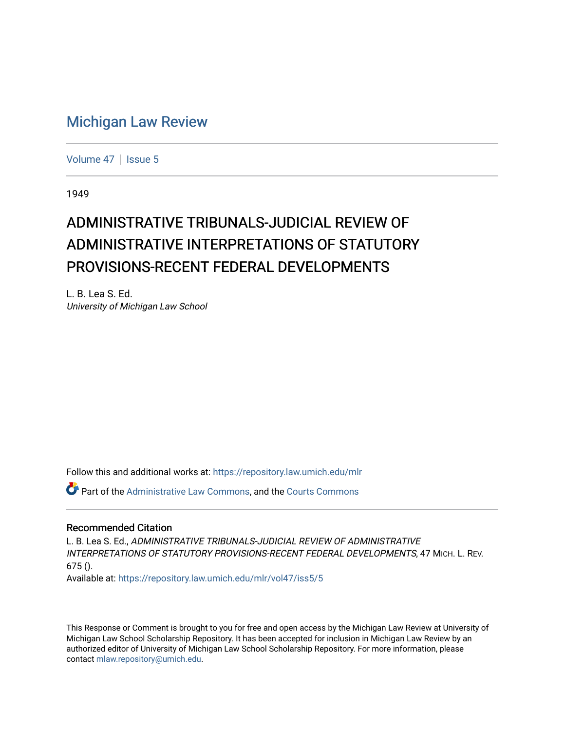# [Michigan Law Review](https://repository.law.umich.edu/mlr)

[Volume 47](https://repository.law.umich.edu/mlr/vol47) | [Issue 5](https://repository.law.umich.edu/mlr/vol47/iss5)

1949

# ADMINISTRATIVE TRIBUNALS-JUDICIAL REVIEW OF ADMINISTRATIVE INTERPRETATIONS OF STATUTORY PROVISIONS-RECENT FEDERAL DEVELOPMENTS

L. B. Lea S. Ed. University of Michigan Law School

Follow this and additional works at: [https://repository.law.umich.edu/mlr](https://repository.law.umich.edu/mlr?utm_source=repository.law.umich.edu%2Fmlr%2Fvol47%2Fiss5%2F5&utm_medium=PDF&utm_campaign=PDFCoverPages) 

**Part of the [Administrative Law Commons,](http://network.bepress.com/hgg/discipline/579?utm_source=repository.law.umich.edu%2Fmlr%2Fvol47%2Fiss5%2F5&utm_medium=PDF&utm_campaign=PDFCoverPages) and the [Courts Commons](http://network.bepress.com/hgg/discipline/839?utm_source=repository.law.umich.edu%2Fmlr%2Fvol47%2Fiss5%2F5&utm_medium=PDF&utm_campaign=PDFCoverPages)** 

## Recommended Citation

L. B. Lea S. Ed., ADMINISTRATIVE TRIBUNALS-JUDICIAL REVIEW OF ADMINISTRATIVE INTERPRETATIONS OF STATUTORY PROVISIONS-RECENT FEDERAL DEVELOPMENTS, 47 MICH. L. REV. 675 ().

Available at: [https://repository.law.umich.edu/mlr/vol47/iss5/5](https://repository.law.umich.edu/mlr/vol47/iss5/5?utm_source=repository.law.umich.edu%2Fmlr%2Fvol47%2Fiss5%2F5&utm_medium=PDF&utm_campaign=PDFCoverPages)

This Response or Comment is brought to you for free and open access by the Michigan Law Review at University of Michigan Law School Scholarship Repository. It has been accepted for inclusion in Michigan Law Review by an authorized editor of University of Michigan Law School Scholarship Repository. For more information, please contact [mlaw.repository@umich.edu](mailto:mlaw.repository@umich.edu).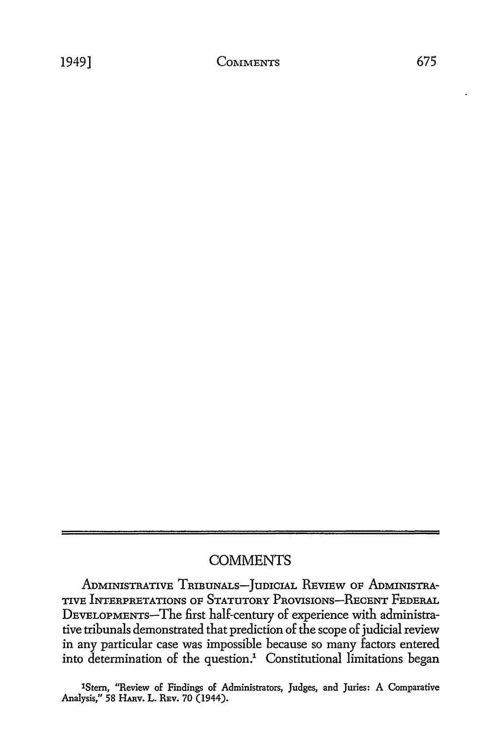# **COMMENTS**

ADMINISTRATIVE TRIBUNALS-JUDICIAL REVIEW OF ADMINISTRA-TIVE INTERPRETATIONS OF STATUTORY PROVISIONS-RECENT FEDERAL DEVELOPMENTS-The first half-century of experience with administrative tribunals demonstrated that prediction of the scope of judicial review in any particular case was impossible because so many factors entered into determination of the question.<sup>1</sup> Constitutional limitations began

1Stem, "Review of Findings of Administrators, Judges, and Juries: A Comparative Analysis," 58 **HARV, L.** REV. 70 (1944).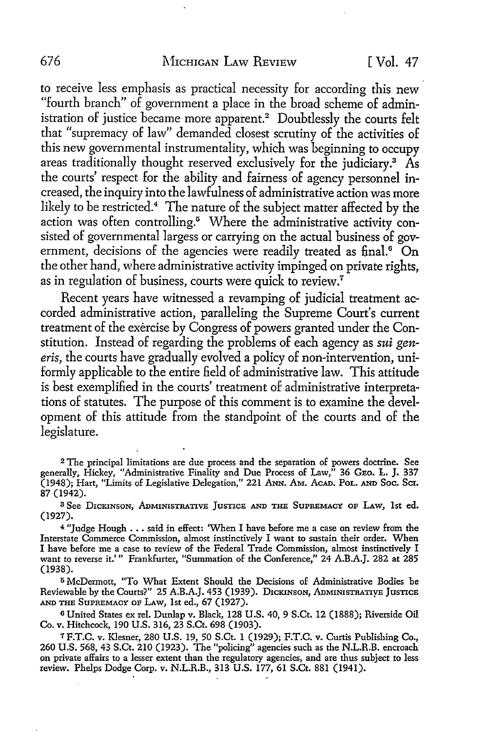to receive less emphasis as practical necessity for according this new "fourth branch" of government a place in the broad scheme of administration of justice became more apparent.<sup>2</sup> Doubtlessly the courts felt that "supremacy of law" demanded closest scrutiny of the activities of this new governmental instrumentality, which was beginning to occupy areas traditionally thought reserved exclusively for the judiciary.3 As the courts' respect for the ability and fairness of agency personnel increased, the inquiry into the lawfulness of administrative action was more likely to be restricted.<sup>4</sup> The nature of the subject matter affected by the action was often controlling.<sup>5</sup> Where the administrative activity consisted of governmental largess or carrying on the actual business of government, decisions of the agencies were readily treated as final.<sup>6</sup> On the other hand, where administrative activity impinged on private rights, as in regulation of business, courts were quick to review.<sup>7</sup>

Recent years have witnessed a revamping of judicial treatment accorded administrative action, paralleling the Supreme Court's current treatment of the exercise by Congress of powers granted under the Constitution. Instead of regarding the problems of each agency as *sui generis,* the courts have gradually evolved a policy of non-intervention, uniformly applicable to the entire field of administrative law. This attitude is best exemplified in the courts' treatment of administrative interpretations of statutes. The purpose of this comment is to examine the development of this attitude from the standpoint of the courts and of the legislature.

<sup>3</sup>See DICKINSON, ADMINISTRATIVE JusTICE AND THE SUPREMACY OF LAw, 1st ed. (1927).

<sup>4</sup> "Judge Hough . . . said in effect: 'When I have before me a case on review from the Interstate Commerce Commission, almost instinctively I want to sustain their order. When I have before me a case to review of the Federal Trade Commission, almost instinctively I want to reverse it.'" Frankfurter, "Summation of the Conference," 24 A.B.A.J. 282 at 285 (1938).

<sup>5</sup>McDermott, "To What Extent Should the Decisions of Administrative Bodies be Reviewable by the Courts?" 25 A.B.A.J. 453 (1939). DICKINSON, ADMINISTRATIVE JUSTICE AND THE SuPREMACY OF LAw, 1st ed., 67 (1927).

<sup>6</sup>United States ex rel. Dunlap v. Black, 128 U.S. 40, 9 S.Ct. 12 (1888); Riverside Oil Co. v. Hitchcock, 190 U.S. 316, 23 S.Ct. 698 (1903).

7 F.T.C. v. Klesner, 280 U.S. 19, 50 S.Ct. l (1929); F.T.C. v. Curtis Publishing Co., 260 U.S. 568, 43 S.Ct. 210 (1923). The "policing" agencies such as the N.L.R.B. encroach on private affairs to a lesser extent than the regulatory agencies, and are thus subject to less review. Phelps Dodge Corp. v. N.L.R.B., 313 U.S. 177, 61 S.Ct. 881 (1941).

<sup>2</sup>The principal limitations are due process and the separation of powers doctrine. See generally, Hickey, "Administrative Finality and Due Process of Law," 36 GEo. L. J. 337 (1948); Hart, "Limits of Legislative Delegation," 221 ANN. AM. AcAD. PoL. AND Soc. Ser. 87 (1942).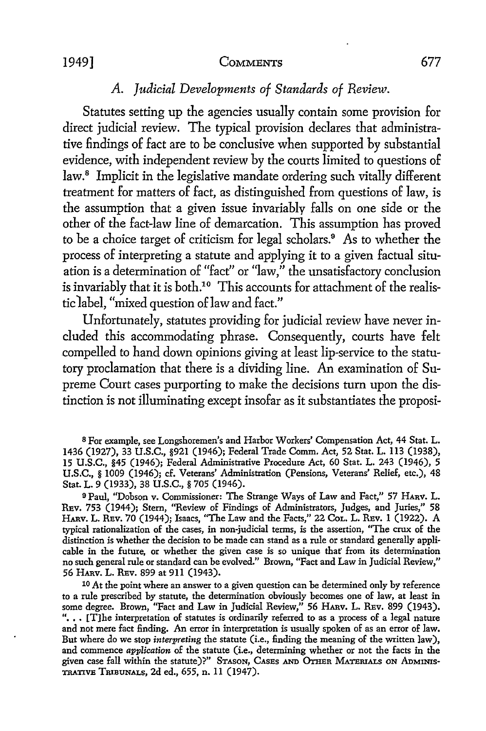#### 1949] COMMENTS 677

# *A. Judicial Developments of Standards of Review.*

Statutes setting up the agencies usually contain some provision for direct judicial review. The typical provision declares that administrative findings of fact are to be conclusive when supported by substantial evidence, with independent review by the courts limited to questions of law.<sup>8</sup> Implicit in the legislative mandate ordering such vitally different treatment for matters of fact, as distinguished from questions of law, is the assumption that a given issue invariably falls on one side or the other of the fact-law line of demarcation. This assumption has proved to be a choice target of criticism for legal scholars.<sup>9</sup> As to whether the process of interpreting a statute and applying it to a given factual situation is a determination of "fact" or "law," the unsatisfactory conclusion is invariably that it is both.<sup>10</sup> This accounts for attachment of the realistic 1abel, "mixed question of law and fact."

Unfortunately, statutes providing for judicial review have never included this accommodating phrase. Consequently, courts have felt compelled to hand down opinions giving at least lip-service to the statutory proclamation that there is a dividing line. An examination of Supreme Court cases purporting to make the decisions turn upon the distinction is not illuminating except insofar as it substantiates the proposi-

<sup>8</sup>For example, see Longshoremen's and Harbor Workers' Compensation Act, 44 Stat. L. 1436 (1927), 33 U.S.C., §921 (1946); Federal Trade Comm. Act, 52 Stat. L. 113 (1938), 15 U.S.C., §45 (1946); Federal Administrative Procedure Act, 60 Stat. L. 243 (1946), 5 U.S.C., § 1009 (1946); cf. Veterans' Administration (Pensions, Veterans' Relief, etc.), 48 Stat. L. 9 (1933), 38 U.S.C., § 705 (1946).

<sup>9</sup>Paul, "Dobson v. Commissioner: The Strange Ways of Law and Fact," 57 HARV. L. REv. 753 (1944); Stern, "Review of Findings of Administrators, Judges, and Juries," 58 HARV. L. REv. 70 (1944); Isaacs, "The Law and the Facts," 22 CoL. L. REv. l (1922). A typical rationalization of the cases, in non-judicial terms, is the assertion, "The crux of the distinction is whether the decision to be made can stand as a rule or standard generally applicable in the future, or whether the given case is so unique that from its determination no such general rule or standard can be evolved." Brown, "Fact and Law in Judicial Review," 56 **HARv.** L. REv. 899 at 911 (1943).

10 At the point where an answer to a given question can be determined only by reference to a rule prescribed by statute, the determination obviously becomes one of law, at least in some degree. Brown, "Fact and Law in Judicial Review," 56 HARv. L. REv. 899 (1943). "... [T]he interpretation of statutes is ordinarily referred to as a process of a legal nature and not mere fact finding. An error in interpretation is usually spoken of as an error of law. But where do we stop *interpreting* the statute (i.e., finding the meaning of the written law), and commence *application* of the statute (i.e., determining whether or not the facts in the given case fall within the statute)?" STASON, CASES AND OTHER MATERIALS ON ADMINIS-TRATIVE TRIBUNALS, 2d ed., 655, n. 11 (1947).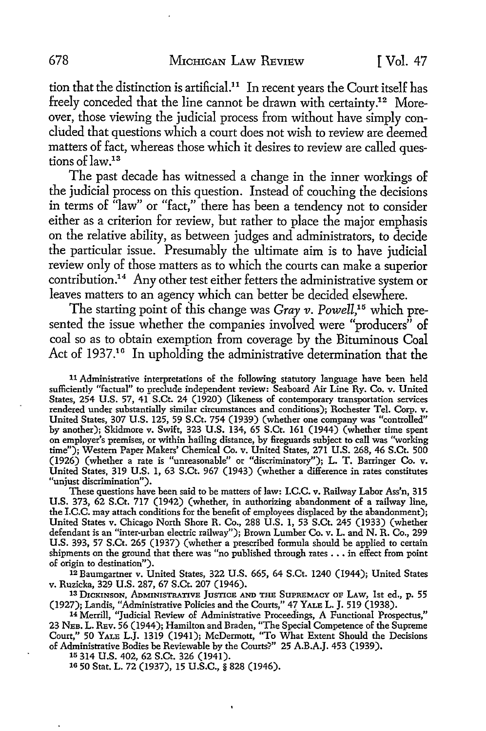tion that the distinction is artificial.<sup>11</sup> In recent years the Court itself has freely conceded that the line cannot be drawn with certainty.12 Moreover, those viewing the judicial process from without have simply concluded that questions which a court does not wish to review are deemed matters of fact, whereas those which it desires to review are called questions of law.<sup>13</sup>

The past decade has witnessed a change in the inner workings of the judicial process on this question. Instead of couching the decisions in terms of "law" or "fact," there has been a tendency not to consider either as a criterion for review, but rather to place the major emphasis on the relative ability, as between judges and administrators, to decide the particular issue. Presumably the ultimate aim is to have judicial review only of those matters as to which the courts can make a superior contribution.<sup>14</sup> Any other test either fetters the administrative system or leaves matters to an agency which can better be decided elsewhere.

The starting point of this change was *Gray v. Powell*,<sup>15</sup> which presented the issue whether the companies involved were "producers" of coal so as to obtain exemption from coverage by the Bituminous Coal Act of 1937.<sup>16</sup> In upholding the administrative determination that the

11 Administrative interpretations of the following statutory language have been held sufficiently "factual" to preclude independent review: Seaboard Air Line Ry. Co. v. United States, 254 U.S. 57, 41 S.Ct. 24 (1920) (likeness of contemporary transportation services rendered under substantially similar circumstances and conditions); Rochester Tel. Corp. v. United States, 307 U.S. 125, 59 S.Ct. 754 (1939) (whether one company was "controlled" by another); Skidmore v. Swift, 323 U.S. 134, 65 S.Ct. 161 (1944) (whether time spent on employer's premises, or within hailing distance, by fireguards subject to call was "working time"); Western Paper Makers' Chemical Co. v. United States, 271 U.S. 268, 46 S.Ct. 500 (1926) (whether a rate is "unreasonable" or "discriminatory"); L. T. Barringer Co. v. United States, 319 U.S. 1, 63 S.Ct. 967 (1943) (whether a difference in rates constitutes "unjust discrimination").

These questions have been said to be matters of law: I.C.C. v. Railway Labor Ass'n, 315 U.S. 373, 62 S.Ct. 717 (1942) (whether, in authorizing abandonment of a railway line, the I.C.C. may attach conditions for the benefit of employees displaced by the abandonment); United States v. Chicago North Shore R. Co., 288 U.S. 1, 53 S.Ct. 245 (1933) (whether defendant is an "inter-urban electric railway"); Brown Lumber Co. v. L. and N. R. Co., 299 U.S. 393, 57 S.Ct. 265 (1937) (whether a prescribed formula should be applied to certain shipments on the ground that there was "no published through rates ••• in effect from point of origin to destination").

12 Baumgartner v. United States, 322 U.S. 665, 64 S.Ct. 1240 (1944); United States v. Ruzicka, 329 U.S. 287, 67 S.Ct. 207 (1946).

13 DICKINSON, ADMINISTRATIVE JUSTICE AND THE SUPREMACY OF LAW, 1st ed., p. 55 (1927); Landis, "Administrative Policies and the Courts," 4? YALE L. J. 519 (1938).

14 Merrill, "Judicial Review of Administrative Proceedings, A Functional Prospectus," 23 NEB. L. REv. 56 (1944 ); Hamilton and Braden, "The Special Competence of the Supreme Court," 50 YALE L.J. 1319 (1941); McDermott, "To What Extent Should the Decisions of Administrative Bodies be Reviewable by the Courts?" 25 A.B.A.J. 453 (1939).

1° 314 U.S. 402, 62 S.Ct. 326 (1941).

1G 50 Stat. L. 72 (1937), 15 U.S.C., § 828 (1946).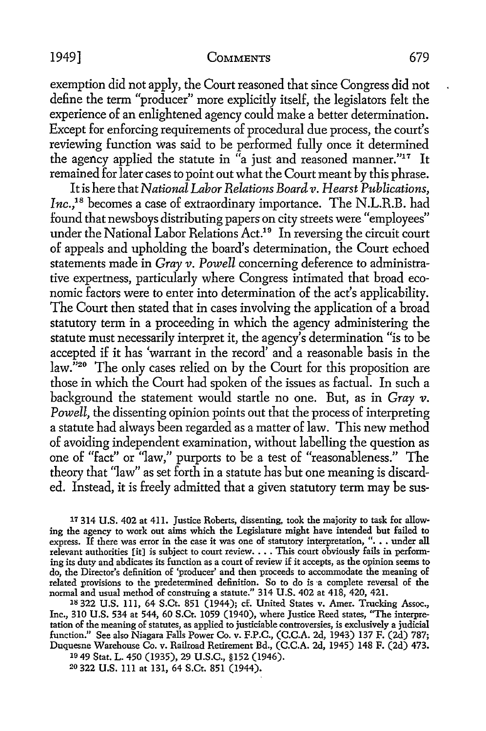#### 1949] COMMENTS 679

exemption did not apply, the Court reasoned that since Congress did not define the term "producer" more explicitly itself, the legislators felt the experience of an enlightened agency could make a better determination. Except for enforcing requirements of procedural due process, the court's reviewing function was said to be performed fully once it determined the agency applied the statute in "a just and reasoned manner."<sup>17</sup> It remained for later cases to point out what the Court meant by this phrase.

It is here that *National Labor Relations Board v. Hearst Publications*, Inc.,<sup>18</sup> becomes a case of extraordinary importance. The N.L.R.B. had found that newsboys distributing papers on city streets were "employees" under the National Labor Relations Act.<sup>19</sup> In reversing the circuit court of appeals and upholding the board's determination, the Court echoed statements made in *Gray v. Powell* concerning deference to administrative expertness, particularly where Congress intimated that broad economic factors were to enter into determination of the act's applicability. The Court then stated that in cases involving the application of a broad statutory term in a proceeding in which the agency administering the statute must necessarily interpret it, the agency's determination "is to be accepted if it has 'warrant in the record' and a reasonable basis in the law."<sup>20</sup> The only cases relied on by the Court for this proposition are those in which the Court had spoken of the issues as factual. In such a background the statement would startle no one. But, as in *Gray v.*  Powell, the dissenting opinion points out that the process of interpreting a statute had always been regarded as a matter of law. This new method of avoiding independent examination, without labelling the question as one of "fact" or "law," purports to be a test of "reasonableness." The theory that "law" as set forth in a statute has but one meaning is discarded. Instead, it is freely admitted that a given statutory term may be sus-

17 314 U.S. 402 at 411. Justice Roberts, dissenting, took the majority to task for allowing the agency to work out aims which the Legislature might have intended but failed to express. If there was error in the case it was one of statutory interpretation, ". . . under all relevant authorities [it] is subject to court review  $\dots$  This court obviously fails in performing its duty and abdicates its function as a court of review if it accepts, as the opinion seems to do, the Director's definition of 'producer' and then proceeds to accommodate the meaning of related provisions to the predetermined definition. So to do is a complete reversal of the normal and usual method of construing a statute." 314 U.S. 402 at 418, 420, 421.

18 322 U.S. lll, 64 S.Ct. 851 (1944); cf. United States v. Amer. Trucking Assoc., Inc., 310 U.S. 534 at 544, 60 S.Ct. 1059 (1940), where Justice Reed states, "The interpretation of the meaning of statutes, as applied to justiciable controversies, is exclusively a judicial function." See also Niagara Falls Power Co. v. F.P.C., (C.C.A. 2d, 1943) 137 F. (2d) 787; Duquesne Warehouse Co. v. Railroad Retirement Bd., (C.C.A. 2d, 1945) 148 F. (2d) 473. 10 49 Stat. L. 450 (1935), 29 U.S.C., §152 (1946).

20 322 U.S. lll at 131, 64 S.Ct. 851 (1944).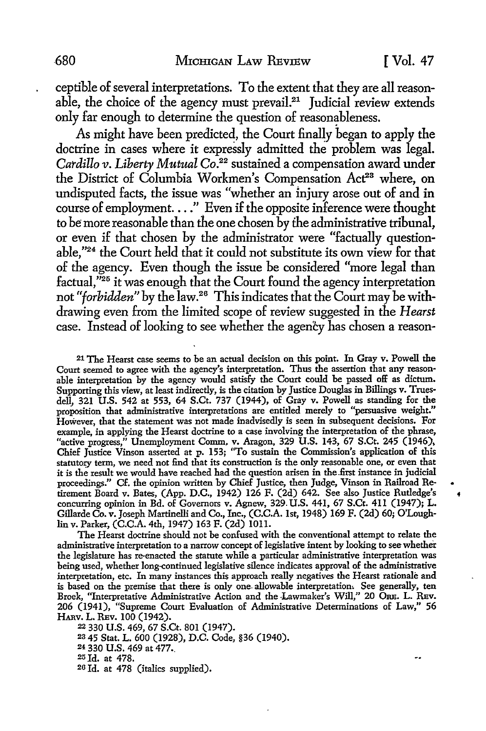ceptible of several interpretations. To the extent that they are all reasonable, the choice of the agency must prevail.<sup>21</sup> Judicial review extends only far enough *to* determine the question of reasonableness.

As might have been predicted, the Court finally began to apply the doctrine in cases where it expressly admitted the problem was legal. *Cardillo v. Liberty Mutual Co.22* sustained a compensation award under the District of Columbia Workmen's Compensation Act<sup>23</sup> where, on undisputed facts, the issue was "whether an injury arose out of and in course of employment .... " Even if the opposite inference were thought *to* be more reasonable than the one chosen by the administrative tribunal, or even if that chosen by the administrator were "factually questionable,''24 the Court held that it could not substitute its own view for that of the agency. Even though the issue be considered "more legal than factual."<sup>25</sup> it was enough that the Court found the agency interpretation not *"forbidden"* by the Iaw.26 This indicates that the Court may be withdrawing even from the limited scope of review suggested in the *Hearst*  case. Instead of looking to see whether the agency has chosen a reason-

21 The Hearst case seems to be an actual decision on this point. In Gray v. Powell the Court seemed to agree with the agency's interpretation. Thus the assertion that any reason· able interpretation by the agency would satisfy the Court could be passed off as dictum. Supporting this view, at least indirectly, is the citation by Justice Douglas in Billings v. Trues· dell, 321 U.S. 542 at 553, 64 S.Ct. 737 (1944), of Gray v. Powell as standing for the proposition that administrative interpretations are entitled merely to "persuasive weight.'' However, that the statement was not made inadvisedly is seen in subsequent decisions. For example, in applying the Hearst doctrine to a case involving the interpretation of the phrase, "active progress," Unemployment Comm, v. Aragon, 329 **U.S.** 143, 67 S.Ct. 245 (1946), Chief Justice Vinson asserted at p. 153; "To sustain the Commission's application of this statutory term, we need not find that its construction is the only reasonable one, or even that it is the result we would have reached had the question arisen in the .first instance in judicial proceedings.'' Cf. the opinion written by Chief Justice, then Judge, Vinson in Railroad Retirement Board v. Bates, (App. D.C., 1942) 126 F. (2d) 642. See also Justice Rutledge's concurring opinion in Bd. of Governors v. Agnew, 329. U.S. 441, 67 S.Ct. 411 (1947); L. Gillarde Co. v. Joseph Martinelli and Co., Inc., (C.C.A. 1st, 1948) 169 F. (2d) 60; O'Loughlin v. Parker, (C.C.A. 4th, 1947) 163 F. (2d) 1011.

The Hearst doctrine should not be confused with the conventional attempt to relate the administrative interpretation to a narrow concept of legislative intent by looking to see whether the legislature has re-enacted the statute while a particular administrative interpretation was being used, whether long-continued legislative silence indicates approval of the administrative interpretation, etc. In many instances this approach really negatives the Hearst rationale and is based on the premise that there is only one- allowable interpretation, See generally, ten Broek, "Interpretative Administrative Action and the Lawmaker's Will," 20 ORE. L. REV. 206 (1941), "Supreme Court Evaluation of Administrative Determinations of Law," 56 HARV. L. REv. 100 (1942).

22 330 U.S. 469, 67 S.Ct. 801 (1947). 2s 45 Stat. L. 600 (1928), D.C. Code, §36 (1940). 24 330 U.S. 469 at 477. 25 Id. at 478. 20 Id. at 478 (italics supplied).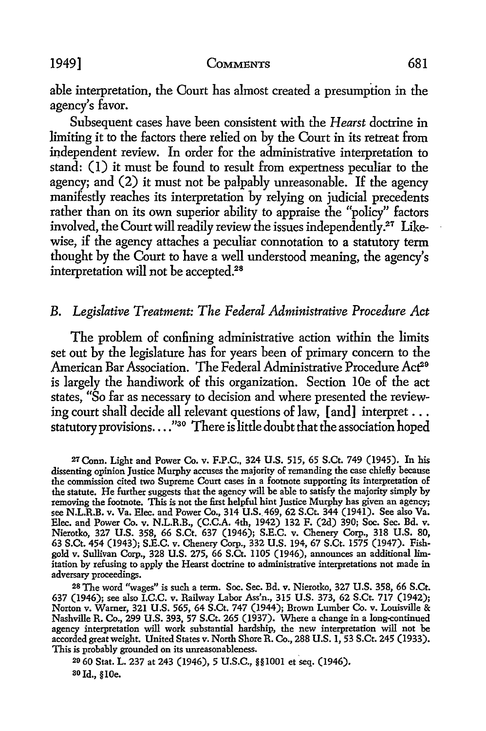1949] COMMENTS 681

able interpretation, the Oourt has almost created a presumption in the agency's favor.

Subsequent cases have been consistent with the *Hearst* doctrine in limiting it to the factors there relied on by the Court in its retreat from independent review. In order for the administrative interpretation to stand: (I) it must be found to result from expertness peculiar to the agency; and (2) it must not be palpably unreasonable. If the agency manifestly reaches its interpretation by relying on judicial precedents rather than on its own superior ability to appraise the "policy" factors involved, the Court will readily review the issues independently. $^{27}\,$  Likewise, if the agency attaches a peculiar connotation to a statutory term thought by the Court to have a well understood meaning, the agency's interpretation will not be accepted.<sup>28</sup>

### B. *Legislative Treatment: The Federal Administrative Procedure Act*

The problem of confining administrative action within the limits set out by the legislature has for years been of primary concern to the American Bar Association. The Federal Administrative Procedure Act<sup>29</sup> is largely the handiwork of this organization. Section lOe of the act states, "So far as necessary to decision and where presented the reviewing court shall decide all relevant questions of law, [and] interpret ... statutory provisions .... "30 There is little doubt that the association hoped

28 The word "wages" is such a term. Soc. Sec. Bd. v. Nieratko, 327 U.S. 358, 66 S.Ct. 637 (1946); see also I.C.C. v. Railway Labor Ass'n., 315 U.S. 373, 62 S.Ct. 717 (1942); Norton v. Warner, 321 U.S. 565, 64 S.Ct. 747 (1944); Brown Lumber Co. v. Louisville & Nashville R. Co., 299 U.S. 393, 57 S.Ct. 265 (1937). Where a change in a long-continued agency interpretation will work substantial hardship, the new interpretation will not be accorded great weight. United States v. North Shore R. Co., 288 U.S. 1, 53 S.Ct. 245 (1933). This is probably grounded on its unreasonableness.

20 60 Stat. L. 237 at 243 (1946), 5 U.S.C., §§1001 et seq. (1946). ao Id., § IOe.

*<sup>21</sup>* Conn. Light and Power Co. v. F.P.C., 324 U.S. 515, 65 S.Ct. 749 (1945). In his dissenting opinion Justice Murphy accuses the majority of remanding the case chielly because the commission cited two Supreme Court cases in a footnote supporting its interpretation of the statute. He further suggests that the agency will be able to satisfy the majority simply by removing the footnote. This is not the first helpful hint Justice Murphy has given an agency; see N.L.R.B. v. Va. Elec. and Power Co., 314 U.S. 469, 62 S.Ct. 344 (1941). See also Va. Elec. and Power Co. v. N.L.R.B., (C.C.A. 4th, 1942) 132 F. (2d) 390; Soc. Sec. Bd. v. Nieratko, 327 U.S. 358, 66 S.Ct. 637 (1946); S.E.C. v. Chenery Corp., 318 U.S. 80, 63 S.Ct. 454 (1943); S.E.C. v. Chenery Corp., 332 U.S. 194, 67 S.Ct. 1575 (1947). Fishgold v. Sullivan Corp., 328 U.S. 275, 66 S.Ct. 1105 (1946), announces an additional limitation by refusing to apply the Hearst doctrine to administrative interpretations not made in adversary proceedings.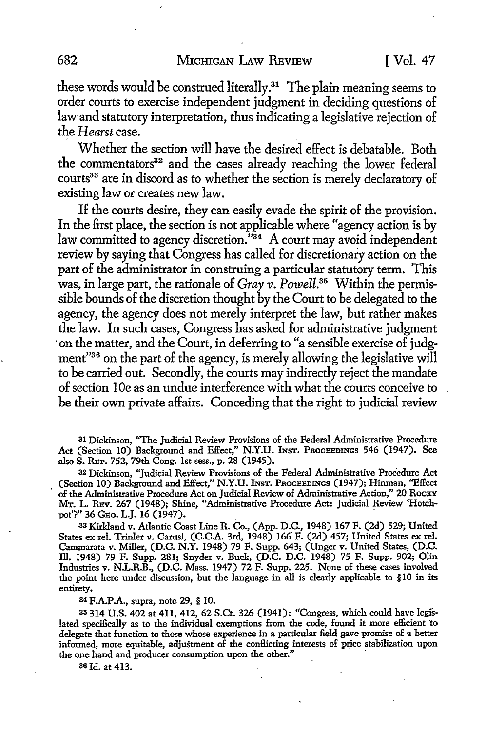these words would be construed literally.<sup>31</sup> The plain meaning seems to order courts to exercise independent judgment in deciding questions of law-and statutory interpretation, thus indicating a legislative rejection of the *Hearst* case.

Whether the section will have the desired effect is debatable. Both the commentators<sup>32</sup> and the cases already reaching the lower federal courts<sup>33</sup> are in discord as to whether the section is merely declaratory of existing law or creates new law.

If the courts desire, they can easily evade the spirit of the provision. In the first place, the section is not applicable where "agency action is by law committed to agency discretion."34 A court may avoid independent review by saying that Congress has called for discretionary action on the part of the administrator in construing a particular statutory term. This was, in large part, the rationale of *Gray v. Powell.35* Within the permissible bounds of the discretion thought by the Court to be delegated to the agency, the agency does not merely interpret the law, but rather makes the law. In such cases, Congress has asked for administrative judgment on the matter, and the Court, in deferring to "a sensible exercise of judgment"36 on the part of the agency, is merely aIIowing the legislative wilI to be carried out. Secondly, the courts may indirectly reject the mandate of section I Oe as an undue interference with what the courts conceive to be their own private affairs. Conceding that the right to judicial review

31 Dickinson, "The Judicial Review Provisions of the Federal Administrative Procedure Act (Section 10) Background and Effect," N.Y.U. INST. PROCEEDINGS 546 (1947). See also S. REP. 752, 79th Cong. 1st sess., p. 28 (1945).

32 Dickinson, "Judicial Review Provisions of the Federal Administrative Procedure Act (Section IO) Background and Effect,'' N.Y.U. lNsT. PROCEEDINGS (1947); Hinman, "Effect of the Administrative Procedure Act on Judicial Review of Administrative Action," 20 Rocky MT. L. REv. 267 (1948); Shine, "Administrative Procedure Act: Judicial Review 'Hotchpot'?" 36 GEO. L.J. 16 (1947).

33 Kirkland v. Atlantic Coast Line R. Co., (App. D.C., 1948) 167 F. (2d) 529; United States ex rel. Trinler v. Carusi, (C.C.A. 3rd, 1948) 166 F. (2d) 457; United States ex rel. Cammarata v. Miller, (D.C. N.Y. 1948) 79 F. Supp. 643; (Unger v. United States, (D.C. ill. 1948) 79 F. Supp. 281; Snyder v. Buck, (D.C. D.C. 1948) 75 F. Supp. 902; Olin Industries v. N.L.R.B., (D.C. Mass. 1947) 72 F. Supp. 225. None of these cases involved the point here under discussion, but the language in all is clearly applicable to §10 in its entirety.

34 F.A.P.A., supra, note 29, § IO.

35 314 U.S. 402 at 411, 412, 62 S.Ct. 326 (1941): "Congress, which could have legislated specifically as to the individual exemptions from the code, found it more efficient to delegate that function to those whose experience in a particular field gave promise of a better informed, more equitable, adjustment of the conflicting interests of price stabilization upon the one hand and producer consumption upon the other." '

36 Id. at 413.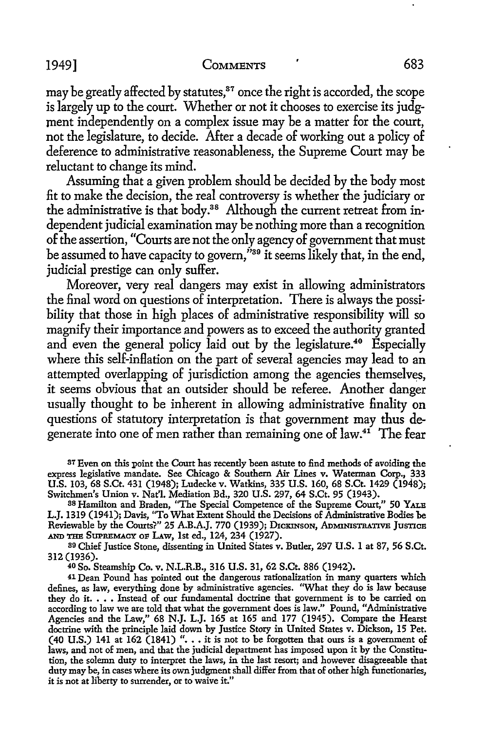may be greatly affected by statutes,<sup>37</sup> once the right is accorded, the scope is largely up to the court. Whether or not it chooses to exercise its judgment independently on a complex issue may be a matter for the court, not the legislature, to decide. After a decade of working out a policy of deference to administrative reasonableness, the Supreme Court may be reluctant to change its mind.

Assuming that a given problem should be decided by the body most fit to make the decision, the real controversy is whether the judiciary or the administrative is that body.38 Although the current retreat from in• dependent judicial examination may be nothing more than a recognition of the assertion, "Courts are not the only agency of government that must be assumed to have capacity to govern,  $\frac{3}{10}$  it seems likely that, in the end, judicial prestige can only suffer.

Moreover, very real dangers may exist in allowing administrators the final word on questions of interpretation. There is always the possibility that those in high places of administrative responsibility will so magnify their importance and powers as to exceed the authority granted and even the general policy laid out by the legislature.<sup>40</sup> Especially where this self-inflation on the part of several agencies may lead to an attempted overlapping of jurisdiction among the agencies themselves, it seems obvious that an outsider should be referee. Another danger usually thought to be inherent in allowing administrative finality on questions of statutory interpretation is that government may thus degenerate into one of men rather than remaining one of law.<sup>41</sup> The fear

37 Even on this point the Court has recently been astute to find methods of avoiding the express legislative mandate. See Chicago & Southern Air Lines v. Waterman Corp., 333 U.S. 103, 68 S.Ct. 431 (1948); Ludecke v. Watkins, 335 U.S. 160, 68 S.Ct. 1429 (1948); Switchmen's Union v. Nat'l. Mediation Bd., 320 U.S. 297, 64 S.Ct. 95 (1943).

38 Hamilton and Braden, "The Special Competence of the Supreme Court," 50 YALE L.J. 1319 (1941); Davis, "To What Extent Should the Decisions of Administrative Bodies be Reviewable by the Courts?" 25 A.B.A.J. 770 (1939); DICKINSON, ADMINISTRATIVE JUSTICE AND THB SUPREMACY op LAw, 1st ed., 124, 234 (1927).

39 Chief Justice Stone, dissenting in United States v. Butler, 297 U.S. 1 at 87, 56 S.Ct. 312 (1936).

40 So. Steamship Co. v. N.L.R.B., 316 U.S. 31, 62 S.Ct. 886 (1942).

41 Dean Pound has pointed out the dangerous rationalization in many quarters which defines, as law, everything done by administrative agencies. "What they do is law because they do it.... Instead of our fundamental doctrine that government is to be carried on according to law we are told that what the government does is law." Pound, "Administrative Agencies and the Law," 68 N.J. L.J. 165 at 165 and 177 (1945). Compare the Hearst doctrine with the principle laid down by Justice Story in United States v. Dickson, 15 Pet. (40 U.S.) 141 at  $162$  (1841) "... it is not to be forgotten that ours is a government of laws, and not of men, and that the judicial department has imposed upon it by the Constitution, the solemn duty to interpret the laws, in the last resort; and however disagreeable that duty may be, in cases where its own judgment shall differ from that of other high functionaries, it is not at liberty to surrender, or to waive it."